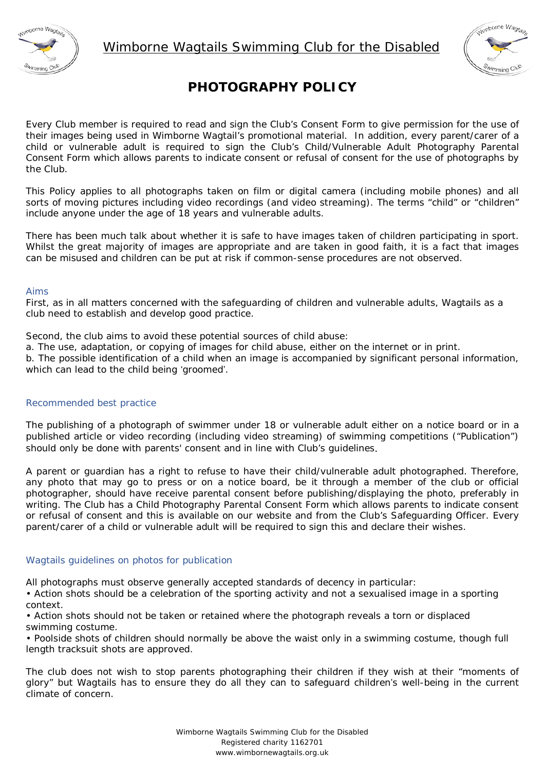



# **PHOTOGRAPHY POLICY**

Every Club member is required to read and sign the Club's Consent Form to give permission for the use of their images being used in Wimborne Wagtail's promotional material. In addition, every parent/carer of a child or vulnerable adult is required to sign the Club's Child/Vulnerable Adult Photography Parental Consent Form which allows parents to indicate consent or refusal of consent for the use of photographs by the Club.

This Policy applies to all photographs taken on film or digital camera (including mobile phones) and all sorts of moving pictures including video recordings (and video streaming). The terms "child" or "children" include anyone under the age of 18 years and vulnerable adults.

There has been much talk about whether it is safe to have images taken of children participating in sport. Whilst the great majority of images are appropriate and are taken in good faith, it is a fact that images can be misused and children can be put at risk if common-sense procedures are not observed.

## Aims

First, as in all matters concerned with the safeguarding of children and vulnerable adults, Wagtails as a club need to establish and develop good practice.

Second, the club aims to avoid these potential sources of child abuse:

a. The use, adaptation, or copying of images for child abuse, either on the internet or in print.

b. The possible identification of a child when an image is accompanied by significant personal information, which can lead to the child being ʻgroomed'.

## Recommended best practice

The publishing of a photograph of swimmer under 18 or vulnerable adult either on a notice board or in a published article or video recording (including video streaming) of swimming competitions ("Publication") should only be done with parents' consent and in line with Club's guidelines.

A parent or guardian has a right to refuse to have their child/vulnerable adult photographed. Therefore, any photo that may go to press or on a notice board, be it through a member of the club or official photographer, should have receive parental consent before publishing/displaying the photo, preferably in writing. The Club has a Child Photography Parental Consent Form which allows parents to indicate consent or refusal of consent and this is available on our website and from the Club's Safeguarding Officer. Every parent/carer of a child or vulnerable adult will be required to sign this and declare their wishes.

## Wagtails guidelines on photos for publication

All photographs must observe generally accepted standards of decency in particular:

• Action shots should be a celebration of the sporting activity and not a sexualised image in a sporting context.

• Action shots should not be taken or retained where the photograph reveals a torn or displaced swimming costume.

• Poolside shots of children should normally be above the waist only in a swimming costume, though full length tracksuit shots are approved.

The club does not wish to stop parents photographing their children if they wish at their "moments of glory" but Wagtails has to ensure they do all they can to safeguard children's well-being in the current climate of concern.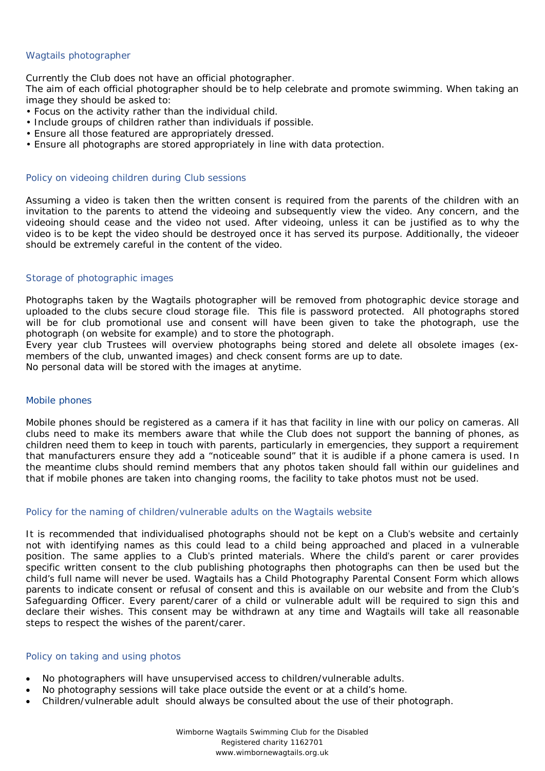## Wagtails photographer

Currently the Club does not have an official photographer.

The aim of each official photographer should be to help celebrate and promote swimming. When taking an image they should be asked to:

- Focus on the activity rather than the individual child.
- Include groups of children rather than individuals if possible.
- Ensure all those featured are appropriately dressed.
- Ensure all photographs are stored appropriately in line with data protection.

## Policy on videoing children during Club sessions

Assuming a video is taken then the written consent is required from the parents of the children with an invitation to the parents to attend the videoing and subsequently view the video. Any concern, and the videoing should cease and the video not used. After videoing, unless it can be justified as to why the video is to be kept the video should be destroyed once it has served its purpose. Additionally, the videoer should be extremely careful in the content of the video.

## Storage of photographic images

Photographs taken by the Wagtails photographer will be removed from photographic device storage and uploaded to the clubs secure cloud storage file. This file is password protected. All photographs stored will be for club promotional use and consent will have been given to take the photograph, use the photograph (on website for example) and to store the photograph.

Every year club Trustees will overview photographs being stored and delete all obsolete images (exmembers of the club, unwanted images) and check consent forms are up to date.

No personal data will be stored with the images at anytime.

## Mobile phones

Mobile phones should be registered as a camera if it has that facility in line with our policy on cameras. All clubs need to make its members aware that while the Club does not support the banning of phones, as children need them to keep in touch with parents, particularly in emergencies, they support a requirement that manufacturers ensure they add a "noticeable sound" that it is audible if a phone camera is used. In the meantime clubs should remind members that any photos taken should fall within our guidelines and that if mobile phones are taken into changing rooms, the facility to take photos must not be used.

## Policy for the naming of children/vulnerable adults on the Wagtails website

It is recommended that individualised photographs should not be kept on a Club's website and certainly not with identifying names as this could lead to a child being approached and placed in a vulnerable position. The same applies to a Club's printed materials. Where the child's parent or carer provides specific written consent to the club publishing photographs then photographs can then be used but the child's full name will never be used. Wagtails has a Child Photography Parental Consent Form which allows parents to indicate consent or refusal of consent and this is available on our website and from the Club's Safeguarding Officer. Every parent/carer of a child or vulnerable adult will be required to sign this and declare their wishes. This consent may be withdrawn at any time and Wagtails will take all reasonable steps to respect the wishes of the parent/carer.

## Policy on taking and using photos

- No photographers will have unsupervised access to children/vulnerable adults.
- No photography sessions will take place outside the event or at a child's home.
- Children/vulnerable adult should always be consulted about the use of their photograph.